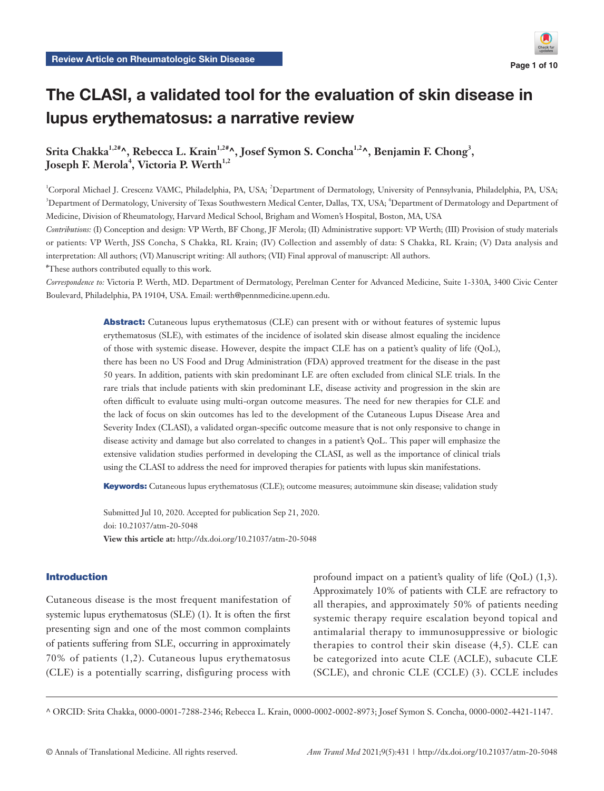# The CLASI, a validated tool for the evaluation of skin disease in lupus erythematosus: a narrative review

Srita Chakka<sup>1,2#</sup>^, Rebecca L. Krain<sup>1,2#</sup>^, Josef Symon S. Concha<sup>1,2</sup>^, Benjamin F. Chong<sup>3</sup>,  $\bm{\mathrm{Joseph}}$  F. Merola $^4$ , Victoria P. Werth $^{1,2}$ 

<sup>1</sup>Corporal Michael J. Crescenz VAMC, Philadelphia, PA, USA; <sup>2</sup>Department of Dermatology, University of Pennsylvania, Philadelphia, PA, USA; <sup>3</sup>Department of Dermatology, University of Texas Southwestern Medical Center, Dallas, TX, USA; <sup>4</sup>Department of Dermatology and Department of Medicine, Division of Rheumatology, Harvard Medical School, Brigham and Women's Hospital, Boston, MA, USA

*Contributions:* (I) Conception and design: VP Werth, BF Chong, JF Merola; (II) Administrative support: VP Werth; (III) Provision of study materials or patients: VP Werth, JSS Concha, S Chakka, RL Krain; (IV) Collection and assembly of data: S Chakka, RL Krain; (V) Data analysis and interpretation: All authors; (VI) Manuscript writing: All authors; (VII) Final approval of manuscript: All authors.

# These authors contributed equally to this work.

*Correspondence to:* Victoria P. Werth, MD. Department of Dermatology, Perelman Center for Advanced Medicine, Suite 1-330A, 3400 Civic Center Boulevard, Philadelphia, PA 19104, USA. Email: werth@pennmedicine.upenn.edu.

> Abstract: Cutaneous lupus erythematosus (CLE) can present with or without features of systemic lupus erythematosus (SLE), with estimates of the incidence of isolated skin disease almost equaling the incidence of those with systemic disease. However, despite the impact CLE has on a patient's quality of life (QoL), there has been no US Food and Drug Administration (FDA) approved treatment for the disease in the past 50 years. In addition, patients with skin predominant LE are often excluded from clinical SLE trials. In the rare trials that include patients with skin predominant LE, disease activity and progression in the skin are often difficult to evaluate using multi-organ outcome measures. The need for new therapies for CLE and the lack of focus on skin outcomes has led to the development of the Cutaneous Lupus Disease Area and Severity Index (CLASI), a validated organ-specific outcome measure that is not only responsive to change in disease activity and damage but also correlated to changes in a patient's QoL. This paper will emphasize the extensive validation studies performed in developing the CLASI, as well as the importance of clinical trials using the CLASI to address the need for improved therapies for patients with lupus skin manifestations.

Keywords: Cutaneous lupus erythematosus (CLE); outcome measures; autoimmune skin disease; validation study

Submitted Jul 10, 2020. Accepted for publication Sep 21, 2020. doi: 10.21037/atm-20-5048 **View this article at:** http://dx.doi.org/10.21037/atm-20-5048

# Introduction

Cutaneous disease is the most frequent manifestation of systemic lupus erythematosus (SLE) (1). It is often the first presenting sign and one of the most common complaints of patients suffering from SLE, occurring in approximately 70% of patients (1,2). Cutaneous lupus erythematosus (CLE) is a potentially scarring, disfiguring process with profound impact on a patient's quality of life (QoL) (1,3). Approximately 10% of patients with CLE are refractory to all therapies, and approximately 50% of patients needing systemic therapy require escalation beyond topical and antimalarial therapy to immunosuppressive or biologic therapies to control their skin disease (4,5). CLE can be categorized into acute CLE (ACLE), subacute CLE (SCLE), and chronic CLE (CCLE) (3). CCLE includes

^ ORCID: Srita Chakka, 0000-0001-7288-2346; Rebecca L. Krain, 0000-0002-0002-8973; Josef Symon S. Concha, 0000-0002-4421-1147.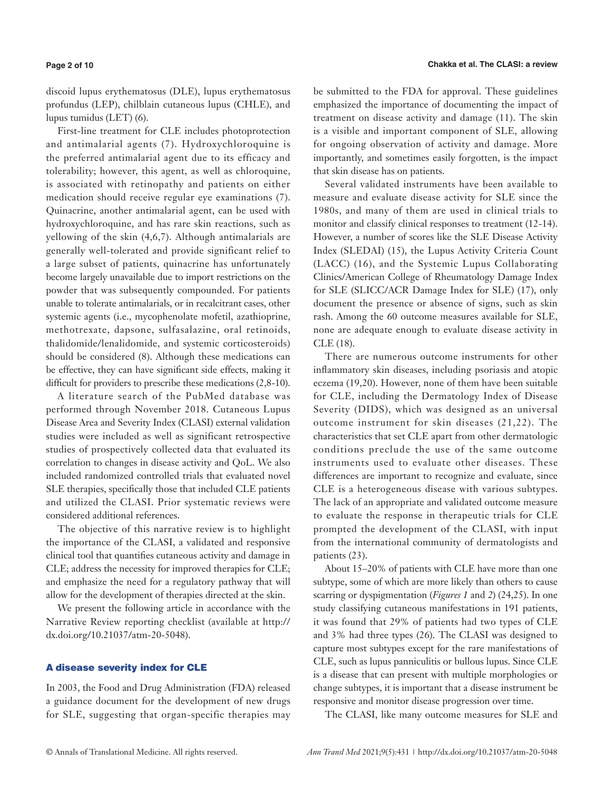#### **Page 2 of 10**

discoid lupus erythematosus (DLE), lupus erythematosus profundus (LEP), chilblain cutaneous lupus (CHLE), and lupus tumidus (LET) (6).

First-line treatment for CLE includes photoprotection and antimalarial agents (7). Hydroxychloroquine is the preferred antimalarial agent due to its efficacy and tolerability; however, this agent, as well as chloroquine, is associated with retinopathy and patients on either medication should receive regular eye examinations (7). Quinacrine, another antimalarial agent, can be used with hydroxychloroquine, and has rare skin reactions, such as yellowing of the skin (4,6,7). Although antimalarials are generally well-tolerated and provide significant relief to a large subset of patients, quinacrine has unfortunately become largely unavailable due to import restrictions on the powder that was subsequently compounded. For patients unable to tolerate antimalarials, or in recalcitrant cases, other systemic agents (i.e., mycophenolate mofetil, azathioprine, methotrexate, dapsone, sulfasalazine, oral retinoids, thalidomide/lenalidomide, and systemic corticosteroids) should be considered (8). Although these medications can be effective, they can have significant side effects, making it difficult for providers to prescribe these medications (2,8-10).

A literature search of the PubMed database was performed through November 2018. Cutaneous Lupus Disease Area and Severity Index (CLASI) external validation studies were included as well as significant retrospective studies of prospectively collected data that evaluated its correlation to changes in disease activity and QoL. We also included randomized controlled trials that evaluated novel SLE therapies, specifically those that included CLE patients and utilized the CLASI. Prior systematic reviews were considered additional references.

The objective of this narrative review is to highlight the importance of the CLASI, a validated and responsive clinical tool that quantifies cutaneous activity and damage in CLE; address the necessity for improved therapies for CLE; and emphasize the need for a regulatory pathway that will allow for the development of therapies directed at the skin.

We present the following article in accordance with the Narrative Review reporting checklist (available at [http://](http://dx.doi.org/10.21037/atm-20-5048) [dx.doi.org/10.21037/atm-20-5048](http://dx.doi.org/10.21037/atm-20-5048)).

# A disease severity index for CLE

In 2003, the Food and Drug Administration (FDA) released a guidance document for the development of new drugs for SLE, suggesting that organ-specific therapies may be submitted to the FDA for approval. These guidelines emphasized the importance of documenting the impact of treatment on disease activity and damage (11). The skin is a visible and important component of SLE, allowing for ongoing observation of activity and damage. More importantly, and sometimes easily forgotten, is the impact that skin disease has on patients.

Several validated instruments have been available to measure and evaluate disease activity for SLE since the 1980s, and many of them are used in clinical trials to monitor and classify clinical responses to treatment (12-14). However, a number of scores like the SLE Disease Activity Index (SLEDAI) (15), the Lupus Activity Criteria Count (LACC) (16), and the Systemic Lupus Collaborating Clinics/American College of Rheumatology Damage Index for SLE (SLICC/ACR Damage Index for SLE) (17), only document the presence or absence of signs, such as skin rash. Among the 60 outcome measures available for SLE, none are adequate enough to evaluate disease activity in CLE (18).

There are numerous outcome instruments for other inflammatory skin diseases, including psoriasis and atopic eczema (19,20). However, none of them have been suitable for CLE, including the Dermatology Index of Disease Severity (DIDS), which was designed as an universal outcome instrument for skin diseases (21,22). The characteristics that set CLE apart from other dermatologic conditions preclude the use of the same outcome instruments used to evaluate other diseases. These differences are important to recognize and evaluate, since CLE is a heterogeneous disease with various subtypes. The lack of an appropriate and validated outcome measure to evaluate the response in therapeutic trials for CLE prompted the development of the CLASI, with input from the international community of dermatologists and patients (23).

About 15–20% of patients with CLE have more than one subtype, some of which are more likely than others to cause scarring or dyspigmentation (*Figures 1* and *2*) (24,25). In one study classifying cutaneous manifestations in 191 patients, it was found that 29% of patients had two types of CLE and 3% had three types (26). The CLASI was designed to capture most subtypes except for the rare manifestations of CLE, such as lupus panniculitis or bullous lupus. Since CLE is a disease that can present with multiple morphologies or change subtypes, it is important that a disease instrument be responsive and monitor disease progression over time.

The CLASI, like many outcome measures for SLE and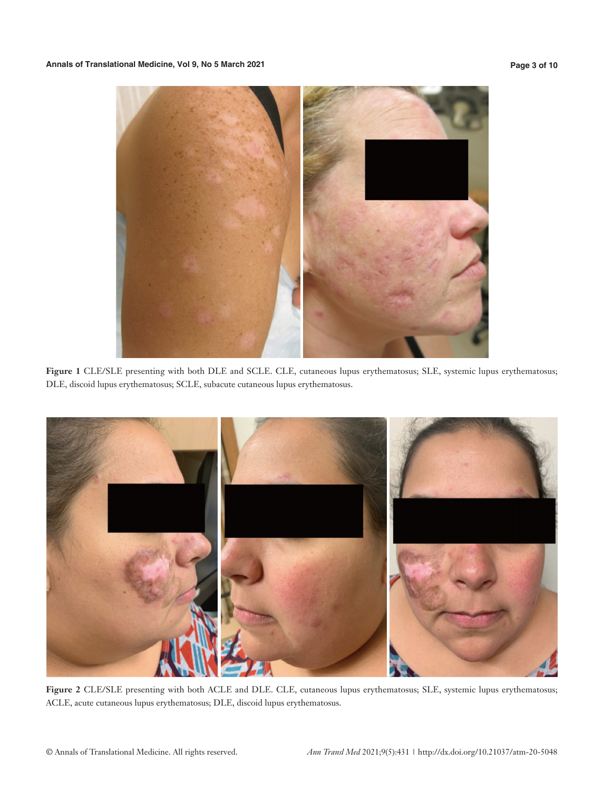

**Figure 1** CLE/SLE presenting with both DLE and SCLE. CLE, cutaneous lupus erythematosus; SLE, systemic lupus erythematosus; DLE, discoid lupus erythematosus; SCLE, subacute cutaneous lupus erythematosus.



**Figure 2** CLE/SLE presenting with both ACLE and DLE. CLE, cutaneous lupus erythematosus; SLE, systemic lupus erythematosus; ACLE, acute cutaneous lupus erythematosus; DLE, discoid lupus erythematosus.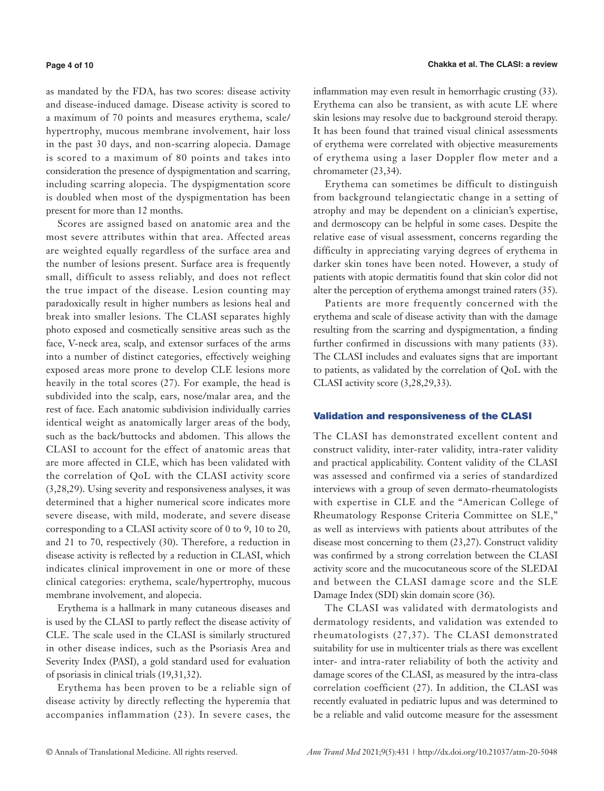#### **Page 4 of 10**

as mandated by the FDA, has two scores: disease activity and disease-induced damage. Disease activity is scored to a maximum of 70 points and measures erythema, scale/ hypertrophy, mucous membrane involvement, hair loss in the past 30 days, and non-scarring alopecia. Damage is scored to a maximum of 80 points and takes into consideration the presence of dyspigmentation and scarring, including scarring alopecia. The dyspigmentation score is doubled when most of the dyspigmentation has been present for more than 12 months.

Scores are assigned based on anatomic area and the most severe attributes within that area. Affected areas are weighted equally regardless of the surface area and the number of lesions present. Surface area is frequently small, difficult to assess reliably, and does not reflect the true impact of the disease. Lesion counting may paradoxically result in higher numbers as lesions heal and break into smaller lesions. The CLASI separates highly photo exposed and cosmetically sensitive areas such as the face, V-neck area, scalp, and extensor surfaces of the arms into a number of distinct categories, effectively weighing exposed areas more prone to develop CLE lesions more heavily in the total scores (27). For example, the head is subdivided into the scalp, ears, nose/malar area, and the rest of face. Each anatomic subdivision individually carries identical weight as anatomically larger areas of the body, such as the back/buttocks and abdomen. This allows the CLASI to account for the effect of anatomic areas that are more affected in CLE, which has been validated with the correlation of QoL with the CLASI activity score (3,28,29). Using severity and responsiveness analyses, it was determined that a higher numerical score indicates more severe disease, with mild, moderate, and severe disease corresponding to a CLASI activity score of 0 to 9, 10 to 20, and 21 to 70, respectively (30). Therefore, a reduction in disease activity is reflected by a reduction in CLASI, which indicates clinical improvement in one or more of these clinical categories: erythema, scale/hypertrophy, mucous membrane involvement, and alopecia.

Erythema is a hallmark in many cutaneous diseases and is used by the CLASI to partly reflect the disease activity of CLE. The scale used in the CLASI is similarly structured in other disease indices, such as the Psoriasis Area and Severity Index (PASI), a gold standard used for evaluation of psoriasis in clinical trials (19,31,32).

Erythema has been proven to be a reliable sign of disease activity by directly reflecting the hyperemia that accompanies inflammation (23). In severe cases, the

inflammation may even result in hemorrhagic crusting (33). Erythema can also be transient, as with acute LE where skin lesions may resolve due to background steroid therapy. It has been found that trained visual clinical assessments of erythema were correlated with objective measurements of erythema using a laser Doppler flow meter and a chromameter (23,34).

Erythema can sometimes be difficult to distinguish from background telangiectatic change in a setting of atrophy and may be dependent on a clinician's expertise, and dermoscopy can be helpful in some cases. Despite the relative ease of visual assessment, concerns regarding the difficulty in appreciating varying degrees of erythema in darker skin tones have been noted. However, a study of patients with atopic dermatitis found that skin color did not alter the perception of erythema amongst trained raters (35).

Patients are more frequently concerned with the erythema and scale of disease activity than with the damage resulting from the scarring and dyspigmentation, a finding further confirmed in discussions with many patients (33). The CLASI includes and evaluates signs that are important to patients, as validated by the correlation of QoL with the CLASI activity score (3,28,29,33).

# Validation and responsiveness of the CLASI

The CLASI has demonstrated excellent content and construct validity, inter-rater validity, intra-rater validity and practical applicability. Content validity of the CLASI was assessed and confirmed via a series of standardized interviews with a group of seven dermato-rheumatologists with expertise in CLE and the "American College of Rheumatology Response Criteria Committee on SLE," as well as interviews with patients about attributes of the disease most concerning to them (23,27). Construct validity was confirmed by a strong correlation between the CLASI activity score and the mucocutaneous score of the SLEDAI and between the CLASI damage score and the SLE Damage Index (SDI) skin domain score (36).

The CLASI was validated with dermatologists and dermatology residents, and validation was extended to rheumatologists (27,37). The CLASI demonstrated suitability for use in multicenter trials as there was excellent inter- and intra-rater reliability of both the activity and damage scores of the CLASI, as measured by the intra-class correlation coefficient (27). In addition, the CLASI was recently evaluated in pediatric lupus and was determined to be a reliable and valid outcome measure for the assessment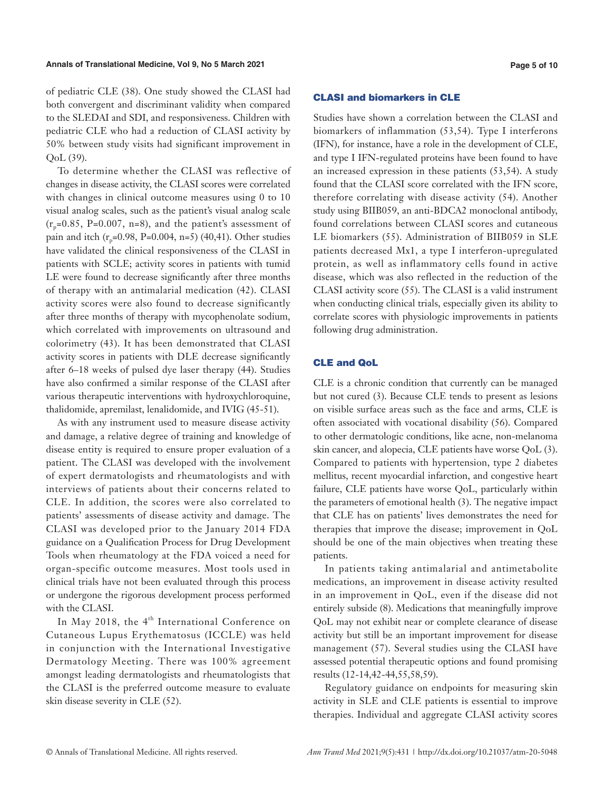#### **Annals of Translational Medicine, Vol 9, No 5 March 2021 Page 5 of 10**

of pediatric CLE (38). One study showed the CLASI had both convergent and discriminant validity when compared to the SLEDAI and SDI, and responsiveness. Children with pediatric CLE who had a reduction of CLASI activity by 50% between study visits had significant improvement in QoL (39).

To determine whether the CLASI was reflective of changes in disease activity, the CLASI scores were correlated with changes in clinical outcome measures using 0 to 10 visual analog scales, such as the patient's visual analog scale  $(r_p=0.85, P=0.007, n=8)$ , and the patient's assessment of pain and itch  $(r_n=0.98, P=0.004, n=5)$  (40,41). Other studies have validated the clinical responsiveness of the CLASI in patients with SCLE; activity scores in patients with tumid LE were found to decrease significantly after three months of therapy with an antimalarial medication (42). CLASI activity scores were also found to decrease significantly after three months of therapy with mycophenolate sodium, which correlated with improvements on ultrasound and colorimetry (43). It has been demonstrated that CLASI activity scores in patients with DLE decrease significantly after 6–18 weeks of pulsed dye laser therapy (44). Studies have also confirmed a similar response of the CLASI after various therapeutic interventions with hydroxychloroquine, thalidomide, apremilast, lenalidomide, and IVIG (45-51).

As with any instrument used to measure disease activity and damage, a relative degree of training and knowledge of disease entity is required to ensure proper evaluation of a patient. The CLASI was developed with the involvement of expert dermatologists and rheumatologists and with interviews of patients about their concerns related to CLE. In addition, the scores were also correlated to patients' assessments of disease activity and damage. The CLASI was developed prior to the January 2014 FDA guidance on a Qualification Process for Drug Development Tools when rheumatology at the FDA voiced a need for organ-specific outcome measures. Most tools used in clinical trials have not been evaluated through this process or undergone the rigorous development process performed with the CLASI.

In May 2018, the 4<sup>th</sup> International Conference on Cutaneous Lupus Erythematosus (ICCLE) was held in conjunction with the International Investigative Dermatology Meeting. There was 100% agreement amongst leading dermatologists and rheumatologists that the CLASI is the preferred outcome measure to evaluate skin disease severity in CLE (52).

#### CLASI and biomarkers in CLE

Studies have shown a correlation between the CLASI and biomarkers of inflammation (53,54). Type I interferons (IFN), for instance, have a role in the development of CLE, and type I IFN-regulated proteins have been found to have an increased expression in these patients (53,54). A study found that the CLASI score correlated with the IFN score, therefore correlating with disease activity (54). Another study using BIIB059, an anti-BDCA2 monoclonal antibody, found correlations between CLASI scores and cutaneous LE biomarkers (55). Administration of BIIB059 in SLE patients decreased Mx1, a type I interferon-upregulated protein, as well as inflammatory cells found in active disease, which was also reflected in the reduction of the CLASI activity score (55). The CLASI is a valid instrument when conducting clinical trials, especially given its ability to correlate scores with physiologic improvements in patients following drug administration.

# CLE and QoL

CLE is a chronic condition that currently can be managed but not cured (3). Because CLE tends to present as lesions on visible surface areas such as the face and arms, CLE is often associated with vocational disability (56). Compared to other dermatologic conditions, like acne, non-melanoma skin cancer, and alopecia, CLE patients have worse QoL (3). Compared to patients with hypertension, type 2 diabetes mellitus, recent myocardial infarction, and congestive heart failure, CLE patients have worse QoL, particularly within the parameters of emotional health (3). The negative impact that CLE has on patients' lives demonstrates the need for therapies that improve the disease; improvement in QoL should be one of the main objectives when treating these patients.

In patients taking antimalarial and antimetabolite medications, an improvement in disease activity resulted in an improvement in QoL, even if the disease did not entirely subside (8). Medications that meaningfully improve QoL may not exhibit near or complete clearance of disease activity but still be an important improvement for disease management (57). Several studies using the CLASI have assessed potential therapeutic options and found promising results (12-14,42-44,55,58,59).

Regulatory guidance on endpoints for measuring skin activity in SLE and CLE patients is essential to improve therapies. Individual and aggregate CLASI activity scores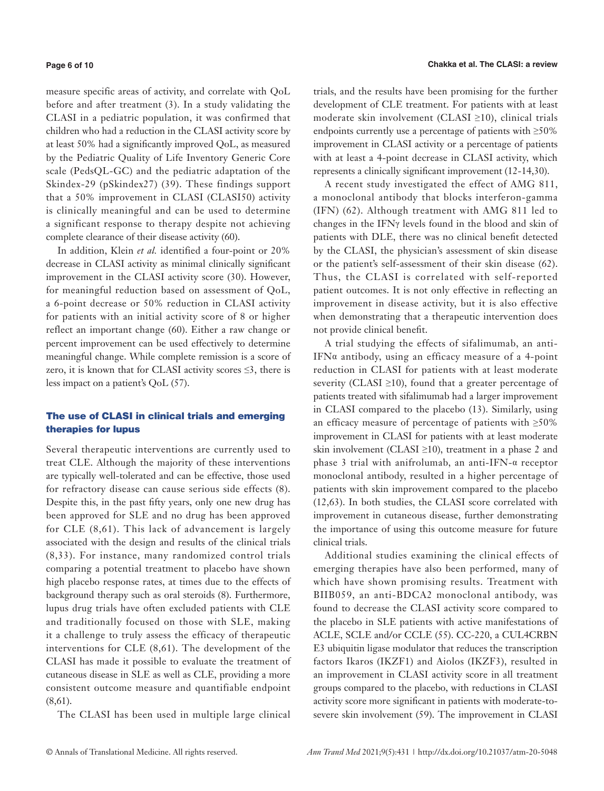#### **Page 6 of 10**

measure specific areas of activity, and correlate with QoL before and after treatment (3). In a study validating the CLASI in a pediatric population, it was confirmed that children who had a reduction in the CLASI activity score by at least 50% had a significantly improved QoL, as measured by the Pediatric Quality of Life Inventory Generic Core scale (PedsQL-GC) and the pediatric adaptation of the Skindex-29 (pSkindex27) (39). These findings support that a 50% improvement in CLASI (CLASI50) activity is clinically meaningful and can be used to determine a significant response to therapy despite not achieving complete clearance of their disease activity (60).

In addition, Klein *et al.* identified a four-point or 20% decrease in CLASI activity as minimal clinically significant improvement in the CLASI activity score (30). However, for meaningful reduction based on assessment of QoL, a 6-point decrease or 50% reduction in CLASI activity for patients with an initial activity score of 8 or higher reflect an important change (60). Either a raw change or percent improvement can be used effectively to determine meaningful change. While complete remission is a score of zero, it is known that for CLASI activity scores  $\leq$ 3, there is less impact on a patient's QoL (57).

# The use of CLASI in clinical trials and emerging therapies for lupus

Several therapeutic interventions are currently used to treat CLE. Although the majority of these interventions are typically well-tolerated and can be effective, those used for refractory disease can cause serious side effects (8). Despite this, in the past fifty years, only one new drug has been approved for SLE and no drug has been approved for CLE (8,61). This lack of advancement is largely associated with the design and results of the clinical trials (8,33). For instance, many randomized control trials comparing a potential treatment to placebo have shown high placebo response rates, at times due to the effects of background therapy such as oral steroids (8). Furthermore, lupus drug trials have often excluded patients with CLE and traditionally focused on those with SLE, making it a challenge to truly assess the efficacy of therapeutic interventions for CLE (8,61). The development of the CLASI has made it possible to evaluate the treatment of cutaneous disease in SLE as well as CLE, providing a more consistent outcome measure and quantifiable endpoint (8,61).

The CLASI has been used in multiple large clinical

trials, and the results have been promising for the further development of CLE treatment. For patients with at least moderate skin involvement (CLASI ≥10), clinical trials endpoints currently use a percentage of patients with  $\geq 50\%$ improvement in CLASI activity or a percentage of patients with at least a 4-point decrease in CLASI activity, which represents a clinically significant improvement (12-14,30).

A recent study investigated the effect of AMG 811, a monoclonal antibody that blocks interferon-gamma (IFN) (62). Although treatment with AMG 811 led to changes in the IFNγ levels found in the blood and skin of patients with DLE, there was no clinical benefit detected by the CLASI, the physician's assessment of skin disease or the patient's self-assessment of their skin disease (62). Thus, the CLASI is correlated with self-reported patient outcomes. It is not only effective in reflecting an improvement in disease activity, but it is also effective when demonstrating that a therapeutic intervention does not provide clinical benefit.

A trial studying the effects of sifalimumab, an anti-IFNα antibody, using an efficacy measure of a 4-point reduction in CLASI for patients with at least moderate severity (CLASI  $\geq$ 10), found that a greater percentage of patients treated with sifalimumab had a larger improvement in CLASI compared to the placebo (13). Similarly, using an efficacy measure of percentage of patients with ≥50% improvement in CLASI for patients with at least moderate skin involvement (CLASI ≥10), treatment in a phase 2 and phase 3 trial with anifrolumab, an anti-IFN-α receptor monoclonal antibody, resulted in a higher percentage of patients with skin improvement compared to the placebo (12,63). In both studies, the CLASI score correlated with improvement in cutaneous disease, further demonstrating the importance of using this outcome measure for future clinical trials.

Additional studies examining the clinical effects of emerging therapies have also been performed, many of which have shown promising results. Treatment with BIIB059, an anti-BDCA2 monoclonal antibody, was found to decrease the CLASI activity score compared to the placebo in SLE patients with active manifestations of ACLE, SCLE and/or CCLE (55). CC-220, a CUL4CRBN E3 ubiquitin ligase modulator that reduces the transcription factors Ikaros (IKZF1) and Aiolos (IKZF3), resulted in an improvement in CLASI activity score in all treatment groups compared to the placebo, with reductions in CLASI activity score more significant in patients with moderate-tosevere skin involvement (59). The improvement in CLASI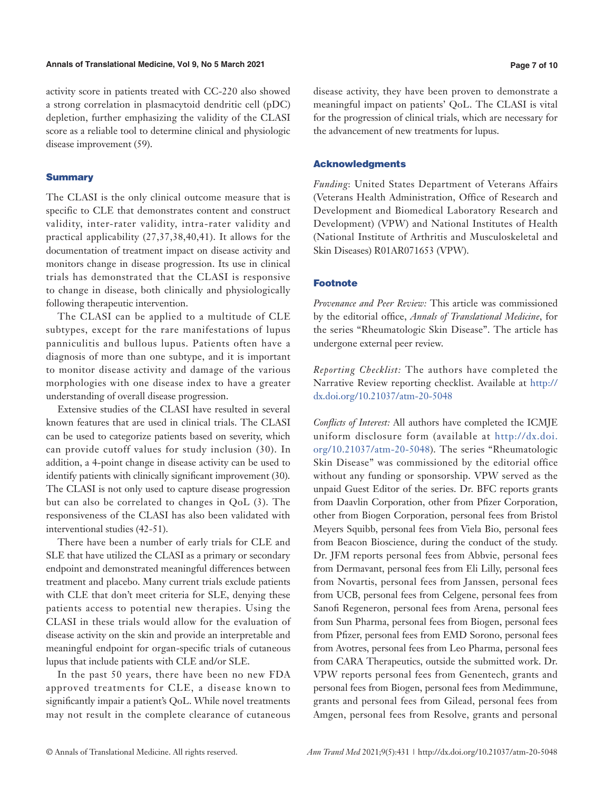### **Annals of Translational Medicine, Vol 9, No 5 March 2021 Page 7 of 10**

activity score in patients treated with CC-220 also showed a strong correlation in plasmacytoid dendritic cell (pDC) depletion, further emphasizing the validity of the CLASI score as a reliable tool to determine clinical and physiologic disease improvement (59).

# **Summary**

The CLASI is the only clinical outcome measure that is specific to CLE that demonstrates content and construct validity, inter-rater validity, intra-rater validity and practical applicability (27,37,38,40,41). It allows for the documentation of treatment impact on disease activity and monitors change in disease progression. Its use in clinical trials has demonstrated that the CLASI is responsive to change in disease, both clinically and physiologically following therapeutic intervention.

The CLASI can be applied to a multitude of CLE subtypes, except for the rare manifestations of lupus panniculitis and bullous lupus. Patients often have a diagnosis of more than one subtype, and it is important to monitor disease activity and damage of the various morphologies with one disease index to have a greater understanding of overall disease progression.

Extensive studies of the CLASI have resulted in several known features that are used in clinical trials. The CLASI can be used to categorize patients based on severity, which can provide cutoff values for study inclusion (30). In addition, a 4-point change in disease activity can be used to identify patients with clinically significant improvement (30). The CLASI is not only used to capture disease progression but can also be correlated to changes in QoL (3). The responsiveness of the CLASI has also been validated with interventional studies (42-51).

There have been a number of early trials for CLE and SLE that have utilized the CLASI as a primary or secondary endpoint and demonstrated meaningful differences between treatment and placebo. Many current trials exclude patients with CLE that don't meet criteria for SLE, denying these patients access to potential new therapies. Using the CLASI in these trials would allow for the evaluation of disease activity on the skin and provide an interpretable and meaningful endpoint for organ-specific trials of cutaneous lupus that include patients with CLE and/or SLE.

In the past 50 years, there have been no new FDA approved treatments for CLE, a disease known to significantly impair a patient's QoL. While novel treatments may not result in the complete clearance of cutaneous disease activity, they have been proven to demonstrate a meaningful impact on patients' QoL. The CLASI is vital for the progression of clinical trials, which are necessary for the advancement of new treatments for lupus.

# Acknowledgments

*Funding*: United States Department of Veterans Affairs (Veterans Health Administration, Office of Research and Development and Biomedical Laboratory Research and Development) (VPW) and National Institutes of Health (National Institute of Arthritis and Musculoskeletal and Skin Diseases) R01AR071653 (VPW).

# Footnote

*Provenance and Peer Review:* This article was commissioned by the editorial office, *Annals of Translational Medicine*, for the series "Rheumatologic Skin Disease". The article has undergone external peer review.

*Reporting Checklist:* The authors have completed the Narrative Review reporting checklist. Available at [http://](http://dx.doi.org/10.21037/atm-20-5048) [dx.doi.org/10.21037/atm-20-5048](http://dx.doi.org/10.21037/atm-20-5048)

*Conflicts of Interest:* All authors have completed the ICMJE uniform disclosure form (available at [http://dx.doi.](http://dx.doi.org/10.21037/atm-20-5048) [org/10.21037/atm-20-5048](http://dx.doi.org/10.21037/atm-20-5048)). The series "Rheumatologic Skin Disease" was commissioned by the editorial office without any funding or sponsorship. VPW served as the unpaid Guest Editor of the series. Dr. BFC reports grants from Daavlin Corporation, other from Pfizer Corporation, other from Biogen Corporation, personal fees from Bristol Meyers Squibb, personal fees from Viela Bio, personal fees from Beacon Bioscience, during the conduct of the study. Dr. JFM reports personal fees from Abbvie, personal fees from Dermavant, personal fees from Eli Lilly, personal fees from Novartis, personal fees from Janssen, personal fees from UCB, personal fees from Celgene, personal fees from Sanofi Regeneron, personal fees from Arena, personal fees from Sun Pharma, personal fees from Biogen, personal fees from Pfizer, personal fees from EMD Sorono, personal fees from Avotres, personal fees from Leo Pharma, personal fees from CARA Therapeutics, outside the submitted work. Dr. VPW reports personal fees from Genentech, grants and personal fees from Biogen, personal fees from Medimmune, grants and personal fees from Gilead, personal fees from Amgen, personal fees from Resolve, grants and personal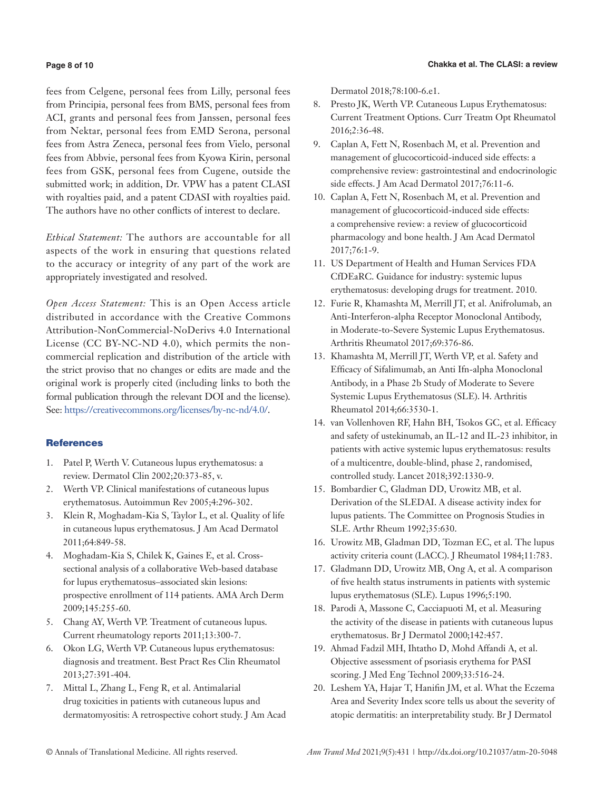# **Page 8 of 10**

fees from Celgene, personal fees from Lilly, personal fees from Principia, personal fees from BMS, personal fees from ACI, grants and personal fees from Janssen, personal fees from Nektar, personal fees from EMD Serona, personal fees from Astra Zeneca, personal fees from Vielo, personal fees from Abbvie, personal fees from Kyowa Kirin, personal fees from GSK, personal fees from Cugene, outside the submitted work; in addition, Dr. VPW has a patent CLASI with royalties paid, and a patent CDASI with royalties paid. The authors have no other conflicts of interest to declare.

*Ethical Statement:* The authors are accountable for all aspects of the work in ensuring that questions related to the accuracy or integrity of any part of the work are appropriately investigated and resolved.

*Open Access Statement:* This is an Open Access article distributed in accordance with the Creative Commons Attribution-NonCommercial-NoDerivs 4.0 International License (CC BY-NC-ND 4.0), which permits the noncommercial replication and distribution of the article with the strict proviso that no changes or edits are made and the original work is properly cited (including links to both the formal publication through the relevant DOI and the license). See: [https://creativecommons.org/licenses/by-nc-nd/4.0/.](https://creativecommons.org/licenses/by-nc-nd/4.0/)

# **References**

- 1. Patel P, Werth V. Cutaneous lupus erythematosus: a review. Dermatol Clin 2002;20:373-85, v.
- 2. Werth VP. Clinical manifestations of cutaneous lupus erythematosus. Autoimmun Rev 2005;4:296-302.
- 3. Klein R, Moghadam-Kia S, Taylor L, et al. Quality of life in cutaneous lupus erythematosus. J Am Acad Dermatol 2011;64:849-58.
- 4. Moghadam-Kia S, Chilek K, Gaines E, et al. Crosssectional analysis of a collaborative Web-based database for lupus erythematosus–associated skin lesions: prospective enrollment of 114 patients. AMA Arch Derm 2009;145:255-60.
- 5. Chang AY, Werth VP. Treatment of cutaneous lupus. Current rheumatology reports 2011;13:300-7.
- 6. Okon LG, Werth VP. Cutaneous lupus erythematosus: diagnosis and treatment. Best Pract Res Clin Rheumatol 2013;27:391-404.
- 7. Mittal L, Zhang L, Feng R, et al. Antimalarial drug toxicities in patients with cutaneous lupus and dermatomyositis: A retrospective cohort study. J Am Acad

Dermatol 2018;78:100-6.e1.

- 8. Presto JK, Werth VP. Cutaneous Lupus Erythematosus: Current Treatment Options. Curr Treatm Opt Rheumatol 2016;2:36-48.
- 9. Caplan A, Fett N, Rosenbach M, et al. Prevention and management of glucocorticoid-induced side effects: a comprehensive review: gastrointestinal and endocrinologic side effects. J Am Acad Dermatol 2017;76:11-6.
- 10. Caplan A, Fett N, Rosenbach M, et al. Prevention and management of glucocorticoid-induced side effects: a comprehensive review: a review of glucocorticoid pharmacology and bone health. J Am Acad Dermatol 2017;76:1-9.
- 11. US Department of Health and Human Services FDA CfDEaRC. Guidance for industry: systemic lupus erythematosus: developing drugs for treatment. 2010.
- 12. Furie R, Khamashta M, Merrill JT, et al. Anifrolumab, an Anti-Interferon-alpha Receptor Monoclonal Antibody, in Moderate-to-Severe Systemic Lupus Erythematosus. Arthritis Rheumatol 2017;69:376-86.
- 13. Khamashta M, Merrill JT, Werth VP, et al. Safety and Efficacy of Sifalimumab, an Anti Ifn-alpha Monoclonal Antibody, in a Phase 2b Study of Moderate to Severe Systemic Lupus Erythematosus (SLE). l4. Arthritis Rheumatol 2014;66:3530-1.
- 14. van Vollenhoven RF, Hahn BH, Tsokos GC, et al. Efficacy and safety of ustekinumab, an IL-12 and IL-23 inhibitor, in patients with active systemic lupus erythematosus: results of a multicentre, double-blind, phase 2, randomised, controlled study. Lancet 2018;392:1330-9.
- 15. Bombardier C, Gladman DD, Urowitz MB, et al. Derivation of the SLEDAI. A disease activity index for lupus patients. The Committee on Prognosis Studies in SLE. Arthr Rheum 1992;35:630.
- 16. Urowitz MB, Gladman DD, Tozman EC, et al. The lupus activity criteria count (LACC). J Rheumatol 1984;11:783.
- 17. Gladmann DD, Urowitz MB, Ong A, et al. A comparison of five health status instruments in patients with systemic lupus erythematosus (SLE). Lupus 1996;5:190.
- 18. Parodi A, Massone C, Cacciapuoti M, et al. Measuring the activity of the disease in patients with cutaneous lupus erythematosus. Br J Dermatol 2000;142:457.
- 19. Ahmad Fadzil MH, Ihtatho D, Mohd Affandi A, et al. Objective assessment of psoriasis erythema for PASI scoring. J Med Eng Technol 2009;33:516-24.
- 20. Leshem YA, Hajar T, Hanifin JM, et al. What the Eczema Area and Severity Index score tells us about the severity of atopic dermatitis: an interpretability study. Br J Dermatol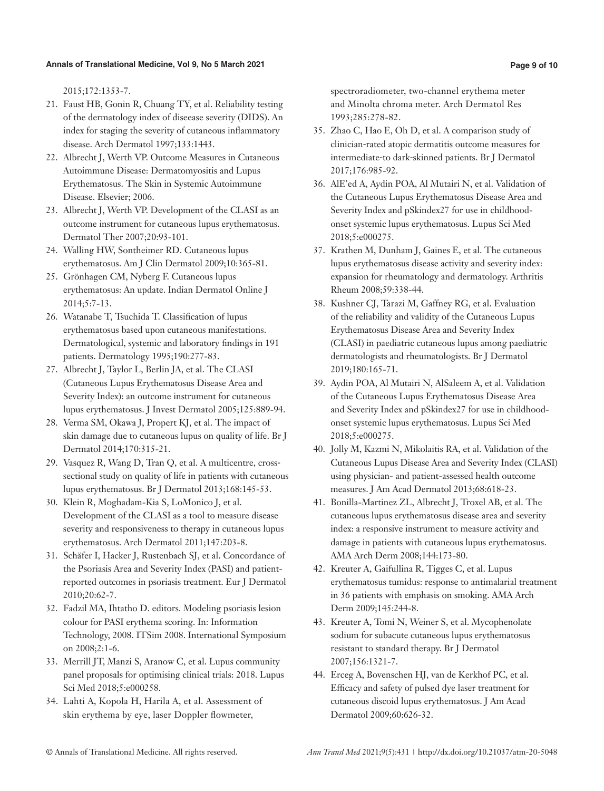2015;172:1353-7.

- 21. Faust HB, Gonin R, Chuang TY, et al. Reliability testing of the dermatology index of diseease severity (DIDS). An index for staging the severity of cutaneous inflammatory disease. Arch Dermatol 1997;133:1443.
- 22. Albrecht J, Werth VP. Outcome Measures in Cutaneous Autoimmune Disease: Dermatomyositis and Lupus Erythematosus. The Skin in Systemic Autoimmune Disease. Elsevier; 2006.
- 23. Albrecht J, Werth VP. Development of the CLASI as an outcome instrument for cutaneous lupus erythematosus. Dermatol Ther 2007;20:93-101.
- 24. Walling HW, Sontheimer RD. Cutaneous lupus erythematosus. Am J Clin Dermatol 2009;10:365-81.
- 25. Grönhagen CM, Nyberg F. Cutaneous lupus erythematosus: An update. Indian Dermatol Online J 2014;5:7-13.
- 26. Watanabe T, Tsuchida T. Classification of lupus erythematosus based upon cutaneous manifestations. Dermatological, systemic and laboratory findings in 191 patients. Dermatology 1995;190:277-83.
- 27. Albrecht J, Taylor L, Berlin JA, et al. The CLASI (Cutaneous Lupus Erythematosus Disease Area and Severity Index): an outcome instrument for cutaneous lupus erythematosus. J Invest Dermatol 2005;125:889-94.
- 28. Verma SM, Okawa J, Propert KJ, et al. The impact of skin damage due to cutaneous lupus on quality of life. Br J Dermatol 2014;170:315-21.
- 29. Vasquez R, Wang D, Tran Q, et al. A multicentre, cross‐ sectional study on quality of life in patients with cutaneous lupus erythematosus. Br J Dermatol 2013;168:145-53.
- 30. Klein R, Moghadam-Kia S, LoMonico J, et al. Development of the CLASI as a tool to measure disease severity and responsiveness to therapy in cutaneous lupus erythematosus. Arch Dermatol 2011;147:203-8.
- 31. Schäfer I, Hacker J, Rustenbach SJ, et al. Concordance of the Psoriasis Area and Severity Index (PASI) and patientreported outcomes in psoriasis treatment. Eur J Dermatol 2010;20:62-7.
- 32. Fadzil MA, Ihtatho D. editors. Modeling psoriasis lesion colour for PASI erythema scoring. In: Information Technology, 2008. ITSim 2008. International Symposium on 2008;2:1-6.
- 33. Merrill JT, Manzi S, Aranow C, et al. Lupus community panel proposals for optimising clinical trials: 2018. Lupus Sci Med 2018;5:e000258.
- 34. Lahti A, Kopola H, Harila A, et al. Assessment of skin erythema by eye, laser Doppler flowmeter,

spectroradiometer, two-channel erythema meter and Minolta chroma meter. Arch Dermatol Res 1993;285:278-82.

- 35. Zhao C, Hao E, Oh D, et al. A comparison study of clinician‐rated atopic dermatitis outcome measures for intermediate‐to dark‐skinned patients. Br J Dermatol 2017;176:985-92.
- 36. AlE'ed A, Aydin POA, Al Mutairi N, et al. Validation of the Cutaneous Lupus Erythematosus Disease Area and Severity Index and pSkindex27 for use in childhoodonset systemic lupus erythematosus. Lupus Sci Med 2018;5:e000275.
- 37. Krathen M, Dunham J, Gaines E, et al. The cutaneous lupus erythematosus disease activity and severity index: expansion for rheumatology and dermatology. Arthritis Rheum 2008;59:338-44.
- 38. Kushner CJ, Tarazi M, Gaffney RG, et al. Evaluation of the reliability and validity of the Cutaneous Lupus Erythematosus Disease Area and Severity Index (CLASI) in paediatric cutaneous lupus among paediatric dermatologists and rheumatologists. Br J Dermatol 2019;180:165-71.
- 39. Aydin POA, Al Mutairi N, AlSaleem A, et al. Validation of the Cutaneous Lupus Erythematosus Disease Area and Severity Index and pSkindex27 for use in childhoodonset systemic lupus erythematosus. Lupus Sci Med 2018;5:e000275.
- 40. Jolly M, Kazmi N, Mikolaitis RA, et al. Validation of the Cutaneous Lupus Disease Area and Severity Index (CLASI) using physician- and patient-assessed health outcome measures. J Am Acad Dermatol 2013;68:618-23.
- 41. Bonilla-Martinez ZL, Albrecht J, Troxel AB, et al. The cutaneous lupus erythematosus disease area and severity index: a responsive instrument to measure activity and damage in patients with cutaneous lupus erythematosus. AMA Arch Derm 2008;144:173-80.
- 42. Kreuter A, Gaifullina R, Tigges C, et al. Lupus erythematosus tumidus: response to antimalarial treatment in 36 patients with emphasis on smoking. AMA Arch Derm 2009;145:244-8.
- 43. Kreuter A, Tomi N, Weiner S, et al. Mycophenolate sodium for subacute cutaneous lupus erythematosus resistant to standard therapy. Br J Dermatol 2007;156:1321-7.
- 44. Erceg A, Bovenschen HJ, van de Kerkhof PC, et al. Efficacy and safety of pulsed dye laser treatment for cutaneous discoid lupus erythematosus. J Am Acad Dermatol 2009;60:626-32.